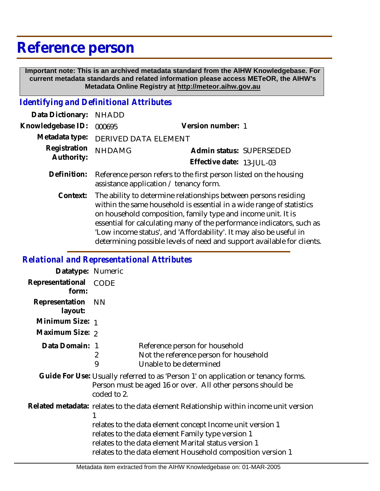## **Reference person**

 **Important note: This is an archived metadata standard from the AIHW Knowledgebase. For current metadata standards and related information please access METeOR, the AIHW's Metadata Online Registry at http://meteor.aihw.gov.au**

## *Identifying and Definitional Attributes*

| Data Dictionary: NHADD            |                                                                               |                           |
|-----------------------------------|-------------------------------------------------------------------------------|---------------------------|
| Knowledgebase ID: 000695          |                                                                               | Version number: 1         |
|                                   | Metadata type: DERIVED DATA ELEMENT                                           |                           |
| Registration NHDAMG<br>Authority: |                                                                               | Admin status: SUPERSEDED  |
|                                   |                                                                               | Effective date: 13-JUL-03 |
|                                   | Definition: Reference person refers to the first person listed on the housing |                           |

assistance application / tenancy form.

The ability to determine relationships between persons residing within the same household is essential in a wide range of statistics on household composition, family type and income unit. It is essential for calculating many of the performance indicators, such as 'Low income status', and 'Affordability'. It may also be useful in determining possible levels of need and support available for clients. **Context:**

## *Relational and Representational Attributes*

| Datatype: Numeric         |                                                                                                                                                                                                                                                                                                                                |                                                                                                     |  |
|---------------------------|--------------------------------------------------------------------------------------------------------------------------------------------------------------------------------------------------------------------------------------------------------------------------------------------------------------------------------|-----------------------------------------------------------------------------------------------------|--|
| Representational<br>form: | <b>CODE</b>                                                                                                                                                                                                                                                                                                                    |                                                                                                     |  |
| Representation<br>layout: | NN.                                                                                                                                                                                                                                                                                                                            |                                                                                                     |  |
| Minimum Size: 1           |                                                                                                                                                                                                                                                                                                                                |                                                                                                     |  |
| Maximum Size: 2           |                                                                                                                                                                                                                                                                                                                                |                                                                                                     |  |
| Data Domain: 1            | 2<br>9                                                                                                                                                                                                                                                                                                                         | Reference person for household<br>Not the reference person for household<br>Unable to be determined |  |
|                           | Guide For Use: Usually referred to as 'Person 1' on application or tenancy forms.<br>Person must be aged 16 or over. All other persons should be<br>coded to 2.                                                                                                                                                                |                                                                                                     |  |
|                           | Related metadata: relates to the data element Relationship within income unit version<br>relates to the data element concept Income unit version 1<br>relates to the data element Family type version 1<br>relates to the data element Marital status version 1<br>relates to the data element Household composition version 1 |                                                                                                     |  |